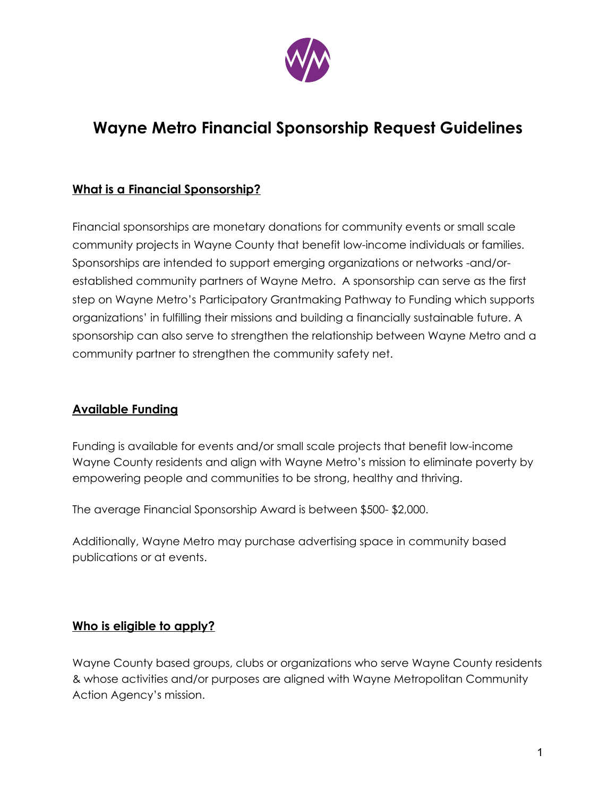

# **Wayne Metro Financial Sponsorship Request Guidelines**

### **What is a Financial Sponsorship?**

Financial sponsorships are monetary donations for community events or small scale community projects in Wayne County that benefit low-income individuals or families. Sponsorships are intended to support emerging organizations or networks -and/orestablished community partners of Wayne Metro. A sponsorship can serve as the first step on Wayne Metro's Participatory Grantmaking Pathway to Funding which supports organizations' in fulfilling their missions and building a financially sustainable future. A sponsorship can also serve to strengthen the relationship between Wayne Metro and a community partner to strengthen the community safety net.

#### **Available Funding**

Funding is available for events and/or small scale projects that benefit low-income Wayne County residents and align with Wayne Metro's mission to eliminate poverty by empowering people and communities to be strong, healthy and thriving.

The average Financial Sponsorship Award is between \$500- \$2,000.

Additionally, Wayne Metro may purchase advertising space in community based publications or at events.

#### **Who is eligible to apply?**

Wayne County based groups, clubs or organizations who serve Wayne County residents & whose activities and/or purposes are aligned with Wayne Metropolitan Community Action Agency's mission.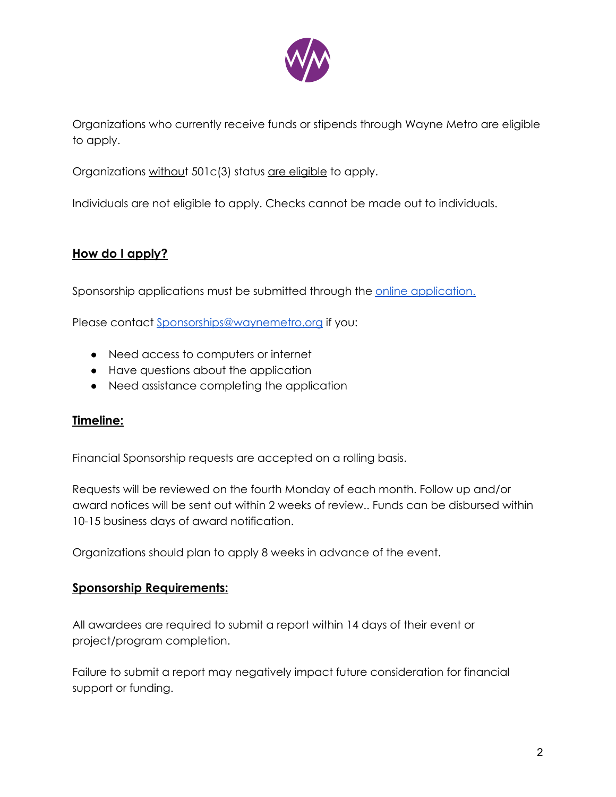

Organizations who currently receive funds or stipends through Wayne Metro are eligible to apply.

Organizations without 501c(3) status are eligible to apply.

Individuals are not eligible to apply. Checks cannot be made out to individuals.

#### **How do I apply?**

Sponsorship applications must be submitted through the [online application.](https://waynemetro.tfaforms.net/4849188)

Please contact [Sponsorships@waynemetro.org](mailto:Sponsorships@waynemetro.org) if you:

- Need access to computers or internet
- Have questions about the application
- Need assistance completing the application

#### **Timeline:**

Financial Sponsorship requests are accepted on a rolling basis.

Requests will be reviewed on the fourth Monday of each month. Follow up and/or award notices will be sent out within 2 weeks of review.. Funds can be disbursed within 10-15 business days of award notification.

Organizations should plan to apply 8 weeks in advance of the event.

#### **Sponsorship Requirements:**

All awardees are required to submit a report within 14 days of their event or project/program completion.

Failure to submit a report may negatively impact future consideration for financial support or funding.